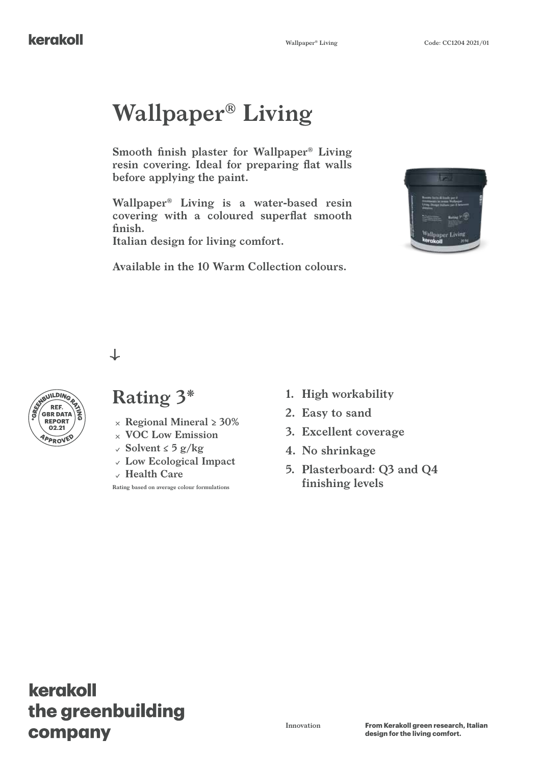# **Wallpaper® Living**

**Smooth finish plaster for Wallpaper® Living resin covering. Ideal for preparing flat walls before applying the paint.**

**Wallpaper® Living is a water-based resin covering with a coloured superflat smooth finish.**

**Italian design for living comfort.**



**Available in the 10 Warm Collection colours.**

 $\downarrow$ 



#### **Rating 3\* 1. High workability**

- 
- **VOC Low Emission**
- **Solvent ≤ 5 g/kg**
- **Low Ecological Impact**
- **Health Care**

**Rating based on average colour formulations**

- 
- **2. Easy to sand**
- **3. Excellent coverage**
- **4. No shrinkage**
- **5. Plasterboard: Q3 and Q4 finishing levels**

# kerakoll the greenbuilding company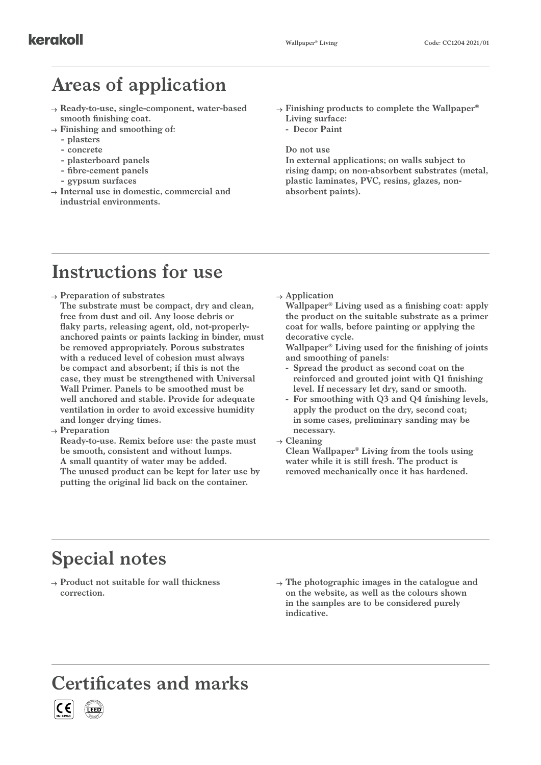# **Areas of application**

- **Ready-to-use, single-component, water-based smooth finishing coat.**
- **Finishing and smoothing of:**
	- **- plasters**
	- **- concrete**
	- **- plasterboard panels**
	- **- fibre-cement panels**
	- **- gypsum surfaces**
- **Internal use in domestic, commercial and industrial environments.**
- **Finishing products to complete the Wallpaper® Living surface:**
	- **- Decor Paint**

**Do not use**

**In external applications; on walls subject to rising damp; on non-absorbent substrates (metal, plastic laminates, PVC, resins, glazes, nonabsorbent paints).**

## **Instructions for use**

- **Preparation of substrates**
- **The substrate must be compact, dry and clean, free from dust and oil. Any loose debris or flaky parts, releasing agent, old, not-properlyanchored paints or paints lacking in binder, must be removed appropriately. Porous substrates with a reduced level of cohesion must always be compact and absorbent; if this is not the case, they must be strengthened with Universal Wall Primer. Panels to be smoothed must be well anchored and stable. Provide for adequate ventilation in order to avoid excessive humidity and longer drying times.**
- **Preparation**

**Ready-to-use. Remix before use: the paste must be smooth, consistent and without lumps. A small quantity of water may be added. The unused product can be kept for later use by putting the original lid back on the container.**

**Application**

**Wallpaper® Living used as a finishing coat: apply the product on the suitable substrate as a primer coat for walls, before painting or applying the decorative cycle.**

**Wallpaper® Living used for the finishing of joints and smoothing of panels:**

- **- Spread the product as second coat on the reinforced and grouted joint with Q1 finishing level. If necessary let dry, sand or smooth.**
- **- For smoothing with Q3 and Q4 finishing levels, apply the product on the dry, second coat; in some cases, preliminary sanding may be necessary.**
- **Cleaning**

**Clean Wallpaper® Living from the tools using water while it is still fresh. The product is removed mechanically once it has hardened.**

#### **Special notes**

**Product not suitable for wall thickness correction.**

**The photographic images in the catalogue and on the website, as well as the colours shown in the samples are to be considered purely indicative.**

#### **Certificates and marks**